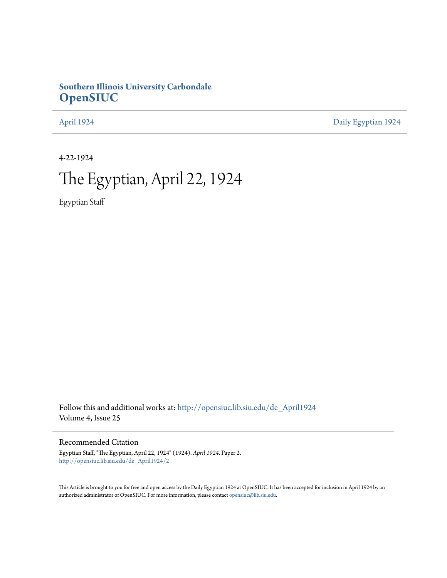# **Southern Illinois University Carbondale [OpenSIUC](http://opensiuc.lib.siu.edu?utm_source=opensiuc.lib.siu.edu%2Fde_April1924%2F2&utm_medium=PDF&utm_campaign=PDFCoverPages)**

[April 1924](http://opensiuc.lib.siu.edu/de_April1924?utm_source=opensiuc.lib.siu.edu%2Fde_April1924%2F2&utm_medium=PDF&utm_campaign=PDFCoverPages) [Daily Egyptian 1924](http://opensiuc.lib.siu.edu/de_1924?utm_source=opensiuc.lib.siu.edu%2Fde_April1924%2F2&utm_medium=PDF&utm_campaign=PDFCoverPages)

4-22-1924

# The Egyptian, April 22, 1924

Egyptian Staff

Follow this and additional works at: [http://opensiuc.lib.siu.edu/de\\_April1924](http://opensiuc.lib.siu.edu/de_April1924?utm_source=opensiuc.lib.siu.edu%2Fde_April1924%2F2&utm_medium=PDF&utm_campaign=PDFCoverPages) Volume 4, Issue 25

Recommended Citation

Egyptian Staff, "The Egyptian, April 22, 1924" (1924). *April 1924.* Paper 2. [http://opensiuc.lib.siu.edu/de\\_April1924/2](http://opensiuc.lib.siu.edu/de_April1924/2?utm_source=opensiuc.lib.siu.edu%2Fde_April1924%2F2&utm_medium=PDF&utm_campaign=PDFCoverPages)

This Article is brought to you for free and open access by the Daily Egyptian 1924 at OpenSIUC. It has been accepted for inclusion in April 1924 by an authorized administrator of OpenSIUC. For more information, please contact [opensiuc@lib.siu.edu](mailto:opensiuc@lib.siu.edu).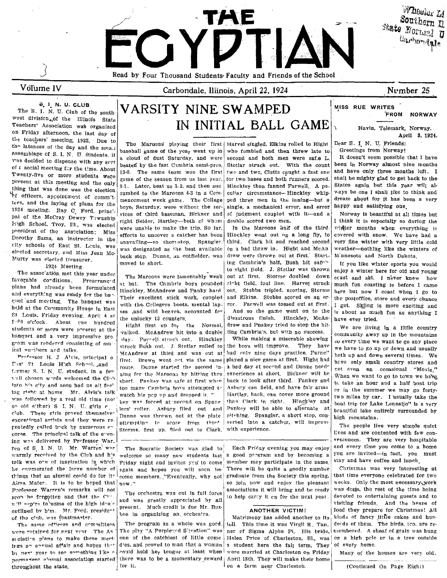

VoTume IV

Carbondale, lllinois. April 22, 1924

## Number 25

## C;. I. N. U. CLUB

The S. I. N. U. Club of the southwest division... of the Illinois State Teachers' Associatiqn wa's organized on Friday afternoon, the last day of the teachers' meeting, 1923. Due to the lateness of the day and the small assemblage of S. I. N. U. students. it baseball game of the year went up in who fumbled and then were safe L. It doesn't seem possible that I have via decided to dispense with any scril a cloud of dust Saturday, and were second and hoth men were saf.e L. It doesn't seem possible that I have<br>The second most part is any second beatef by the fast Cambria semi-pres. Sto of  $\epsilon$  social meeting for the time. About  $\begin{bmatrix} \text{beate in by the fast example,} \\ 13.0. \end{bmatrix}$  The same team won the first two and two, Clutts caught a fast one and have only three months left. I Twenty-five or more students were 13-0. The same team won the first two and two, Clutts caught a fast one and have only three months left. I we are the season from us last year, for two bases and both runners scored. Shal present at this meeting and the only thing that was done was the election still hater, beat us 3-2, and then such minickies then kanned rarwell. A po- with your work was such that and <sup>1</sup>I officers, appointment of comm'tthe since of plans for the men cement week game. The College ped three men in the inning-but a tess, and the laying of plans for the mers saturday, were without the ser-<br>single, a mechanical error, and error 1924 meeting; Ray C Ford, princ'- boys, Saturuay, were without the ser- smgle, a mechanical error, and error, pai of the McCray Dewey Tawnship incess of the matter-both of whom double scored two men.<br>High School, Troy, Ill., was elected were unable to make the trip, So far. In the Marcons haif of the third president of the association; Miss were uname to make the trip. So far. The material of the third. In the material of the third. Dorothy Sams, an instructor in the unavailing-so short-stop, Spangler third. Clark hit and reached second eity schools of East St. Leuis, was designated as the best available on a bad throw in. Hight and McAn

The association met this year under The Maroons were lamentably weak out at first. Storme doubled down<br>favorable conditions. Prearranged the Combrie have reunded right field foul line. Here ethnology favorable co~ditions. Prearranged at bat. The Cambria boys pounded ri~ht field, foul line. Harvel struck plans had already been formulated Hinckley. McAndrew and Panky hard out. Stubbs tripled, scoring, Storme and everything was ready for the band material and the studies of the storme the postoffice, store and every chance of Their excellent stick work, coupled and Elkins. Stubbs scored on an er- the postoffice, store and every chance  $\frac{1}{2}$  and  $\frac{1}{2}$  and meeting. The banquet was with the Colleg held at the Community House in East 81. Louis, Friday evening. April 4 at E' PO o'c'ock. About ene hundred students or more were present at the banquet and a very impressive pro-<br>
lay. Purrell struck out. Hinckley While making a miserable showing so every time we want to go any place and<br>
gram was rendered consisting of multiple and struck Bush out. J. Stotlar rol gram was rendered consisting of mu , struck Bush out. J. Stotlar rolled' to the box will improve. The boys will improve the boys will improve the boys will improve. The boys will improve the boys will improve the boys will

F.:st St Louis High School, and the second in- Dunne started the second in- I a bad day at second and Dunne needer have only small country stores and former S. I. N. U. student, in a few ning for the Maroons by hitting th where the chosen will be chosen in a real interpretion of the Maroons by hitting thru, experience at short. Biclimate will be when we want to go to town we have  $\frac{1}{10}$  short of  $\frac{1}{10}$  short. Pankey was safe at fir into his city and soon had us all fee' some communications attempted to describe the summer we may go forty-<br>ing right; at home. Mr. Alvis's talk moted big non un and dropped it. Hartley hack can cover more ground or in t was followed by a real old time (not key west forced at second on Spane than Clark in right. Hinckley and boat trip for Lake Lennsijo" is a very<br>so old either) S. I. N. U. girls r. i lers' roller. Ashury flied out and Pank eup. These gives proved themselve. Dunne was thrown out at the plate pitching. Spangler, a short stop, con-<br>exceptional artists and they were re-<br>attempting to score from third verted into a catcher, will improve. The nee excentional artists and they were re- attempting to score from third verted into a catcher, will improve<br>peatedly called back by numerous entity channel first up flied out to Clear inith experience cores. The principal talk of the e-ening we q delivered hy Prrfessor War\_ veniences. They are very hospitable ren of S. I. N. U. Mr. Warren was The Socratic Society was glad to Each Friday evening you may enjoy and every time you come to a home warmly received by the Club and h's welcome so many new students last a good pregram and by becoming a vou are invited—in fact, you must<br>talk was one of inspiration in which Friday night and invites you to come member may talk was ore of inspiration in which Friday night and invites you' to come: member may participate in the same. he enumerated the large number of again and hopes you will soon he. There will be quite a goodly number. Christmas was very interesting at Prefessor Warren's remarks will not The orchestra was out in full force associations it will bring and be ready was done, the rest of the time being goests and to see the force of the time being such a set of the rest of scon he forgotten and that the Currel and was greatly appreciated by all to help carry it on for the next year. devoted to entertaining guests and to will evolve to some of the heaps of will oppine to some of the high idea's and was greatly approximed by an outlined by h'm. Mr. Ford. president pressent. Much credit is due Mr. Buz- ANOTHER VICTIM! food they prepare for Christmas! All<br>Indianally the color and hunder is due in organizing an orchestra. of the club, was coastmaster.  $\big\}$  bee in organizing an orchestra. Matrimony has added another to its, kinds of fancy little cakes and hun-

were retained for next vear The As The play "A Perpleyed S'tuation" was ner cf Sigma Alpha Pi. His bride, membered. A sheaf of grain was hung scciation plans to make these meet one of the catchiest of little come Helen Price of Charleston, Ill., was on a high pele or in a tree outside irgs an annual affair and hopes that dies, and proved to man that a woman | a student here the fall term. They of every home. by next year to see something I'ke a could hold her tongue at least when were married at Charleston on Friday | Many of the houses are very old. nermationt alumni association started there was to be a momentary reward April 18th. They will make their home throughout the state.  $\int$  for it.  $\int$  on a farm near Charleston.  $\int$  (Continued On Page Eight)

# V ARSITY NINE SWAMPED IN INITIAL BALL GAME  $\sim$  Havin, Telemark, Norway.

The Marqons' playing their first Harvel singled, Elkins rolled to Hight Dear S. I. N. U. Friends:<br>baseball game of the yea<sub>r</sub> went up in who fumbled and then threw late to Greetings from Norway! game of the season from us last year, for two bases and both runners scored. Shall be mighty glad to get back to the<br>8-1. Later, beat us 3-2, and then suc Hinckley then fanned Farwell. A pe-<br>States again but this year wil Murty was elected treasurer. back stop. Dunne, an outfielder, was Murty was elected treasurer.

Their excellent stick work, coupled and Elkins. Stubbs scored on an er-

Hight first up for the Normal, drew and Pnakey tried to stop the hit-<br>alked. McAndrew hit into a double, ting Cambria's, but with no success.

attempture to score from three exists and actually numerous. The people live very simple quiet Storme. first up. flied out to Clark. with experience.

ing Cambria's half, Bush hit safe"' 1924 Meeting to Short.<br>The association met this year under  $\begin{bmatrix} \text{move} & \text{to} \\ \text{to} \\ \text{to} \\ \text{to} \\ \text{to} \end{bmatrix}$  to  $\begin{bmatrix} \text{to} \\ \text{to} \\ \text{to} \\ \text{to} \\ \text{to} \\ \text{to} \end{bmatrix}$  to  $\begin{bmatrix} \text{to} \\ \text{to} \\ \text{to} \\ \text{to} \\ \text{to} \\ \text{to} \end{bmatrix}$ . Stotl

the unlucky 13 counters.  $\int$  disastrous finish. Hinckley, McAn- have ever tried.

The same of reers and committees The program as a whole was goed. toll. This time it was Virgil R. Tan. dreds of them. The birds, tco. are re-

MISS RUE WRITES 'FROM NORWAY

April 3, 1924.

dream about for it has been a very h&ppy and satisfying one.

Norway is beautiful at all times but I think it is especially so during the vinter months when everything is covered with snow. We have had a very fine winter with very little cold weather-nothing like the winters of Minnesota and North Dakota.

If you like winter sports you would enjoy a winter here for old and young ccast and skI. I neVer knew how much fun coasting is before I came here but now I coast when I go to with the Collegers boots, mental lap- ror. Farwell was tossed out at first. I get. Skiing is more exciting and<br>ses ,and wild heaves, accounted for . And so the game went on to the is about as much fun as anything I is about as much fun as anything I

struck Bush out. J. Stotlar rolled to the boys will improve. They have we have to go up or down and usually<br>McAndrew at third and was out at had only nine days practice. Purne!' hoth up and down coveral times. We A include and the state of the McAndrew at third and was out at had only nine days practice. Purne" both up and down several times. We provide the State Highly 1. J. Alvis, principal 0 lines. We First. St. Louis High School, and first. Brown went out via the same played a nice game at first. Hight had have only small country stores and  $\Gamma$ rst. It Louis High School, and range pump stores and regards in a head of back to look after third. Pankey and  $\int_{0}^{1}$  to take an hour and a half boat trip Asbury can field, and have fair arms an include an increase facture ition many Cambria boys attempted to assury can held, and have fair arms of the summer we may go forty-<br>was followed by a real old time (not be was forced at second on Spane than Clark in right. Hincking and the summer we

things that an alumni could do for its ome members. "Eventually, why not graduate from the Society this spring, that time everyone celebrated for two same alumni could do for two so join now and enjoy the pleasant weeks. O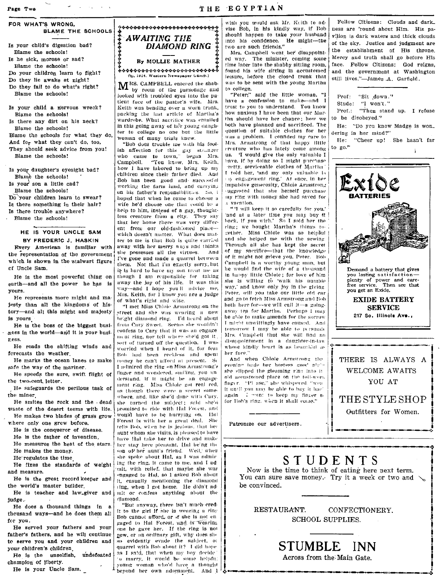FOR WHAT'S WRONG. **BLAME THE SCHOOLS** 

Is your child's digestion had? Blame the schools! Is he sick, morose or sad? Blame the schools! Do your children learn to fight? Do they lie awake at night? Do they fail to do what's right? Blame the schools!

Is your child a n'ervous wreck? Blame the schools! Is there any dirt on his neck? Blame the schools! Blame the schools for what they do, And for what they can't do, too, They should seek advice from you!

Is your daughter's eyesight bad?

Blame the schools!

Blame the schools! Is your son a little cad? Blame the schools! Do vour children learn to swear?

Is there something in their hair? Is there trouble anywhere? Blame the schools!

### HE IS YOUR UNCLE SAM BY FREDERIC J. HASKIN

Every American is familiar with the representation of the government which is shown in the stalwart figure of Uncle Sam.

He is the most powerful thing on earth-and all the power he has is yours.

He represents more might and majesty than all the kingdoms of history-and all this might and majesty is vours

He is the boss of the biggest business in the world-and it is your busiress.

He reads the shifting winds and ferecasts the weather

He marks the ocean lanes to make safe the way of the mariner. He speeds the sure, swift flight of

the two-cent, letter. He safeguards the perilous task of

the miner

He smites the rock and the dead waste of the desert teems with life. He makes two blades of grass grow

where only one grew before.

He is the conqueror of disease. He is the father of invention. He measures the heat of the stars.

He makes the money.

He regulates the time

He fixes the standards of weight and measure.

He is the great record keeper and the world's master builder.

He is teacher and law\_giver and judge.

He does a thousand things in a theusand ways-and he does them all fer vou.

He served your fathers and your father's fathers, and he will continue to serve you and your children and your children's children.

He is the unselfish, undefeated champion of liberty.

He is your Uncle Sam.



M<sup>RS.</sup> CAMPBELL entered the shab-<br>by room of the parsonage and looked with troubled eyes into the patient face of the pastor's wife. Mrs. Keith was bending over a worn trunk, packing the last article of Martha's wardrobe. What sacrifice was entailed in this going away of her young daughter to college no one but the little woman of many trials knew.

"Bob does trouble me with his foolish affection for this gay stranger<br>who came to town," began Mrs. Campbell. "You know, Mrs. Keith, how I have labored to bring up my children since their father died. And Bob has been good and successful working the farm land, and carrying on his father's responsibilities. So, I hoped that when he came to choose a wife he'd choose one that could be a help to him, instead of a gay, thoughtless creature from a city. They say that her home there was very different from our old-fashioned placewhich doesn't matter. What does matter to me is that Bob is quite carried away with her merry ways and thinks she possesses all the virtues. And I've gone and made a quarrel between them. Not that I'm exactly sorry, but it is hard to have my son front me as though I am responsible for taking away the joy of his life. It was this way-and I hope youll advise me, Mrs. Keith, for I know you are a judge of what's right and wise.

"I met Miss Chloie Armstrong on the street and she was wearing a new bright diamond ring. I'd heard about from Cary Sweet Seems she wouldn't confess to Cary that it was an engage ment ring, nor tell where she'd got it, sort of turned off the question. I was worried when I heard of it, for fear Bob had been reckless and spent money he can't afford at present. So I admired the ring on Miss Armstrong's finger and wondered, smiling, you understand, if it might be an engagement ring. Miss Chloie got real red. as though there were a secret somewhere, and, like she'd done with Cary. she turned the subject; said she'd promised to ride with Hal Forest, and would have to be hurrying on. Hall Forest is with her a great deal. She rells Boh, when he is jealous, that her aunt whom she visits, is pleased to have have Hal take her to drive and make her stay here pleasant, Hal be'ng the son of her aunt's friend. Well, when she spoke about Hal, as I was admiring the ring, it came to me, and I ad mit, with relief, that maybe she was engaged to Hal, so I asked Bob about it, casually mentioning the diamond (ing, when I got home. He didn't admit or confess anything about the diamond.

"But anyway, there isn't much cred-It to the girl if she is wearing a ring Bob cannot afford, or if she is not en gaged to Hal Forest, und is wearing one he gave her. If the ring is not new, or an ordinary gift, why does she so evidently evade the subject, or<br>quarrel with Bob about it? I did hope as I said, that when my boy decide. 'o marry, it would be some helpful young woman who'd have a thought beyond her own adornment. And 1

wish you would ask Mr. Keith to advise Bob, in his kindly way, if Bob should happen to take your husband into his confidence. He might---the two are such friends."

Mrs. Campbell went her disappointed way. The minister, coming some time later into the shabby sitting room. found his wife sitting in accustomed leisure, before the closed trunk that was to be sent with the young Martha to college.

"Peter:" said the little woman, "I have a confession to make-and 1 trust to you to understand. You know how anxious I have been that our Martha should have her chance: how we both have planned and sacrificed. The question of suitable clothes for her .<br>was a problem. I confided my care to Mrs. Armstrong of that happy little creature who has lately come among us. 'I would give the only valuable I have if hy doing so I might nurchase retty, serviceable clothes of Martha. I told her, 'and my only valuable is (i) engagement ring,' At once, in her impulsive generosity, Chloie Armstron, suggested that she herself purchase my ring with money she had saved for a vacation.

"'I will keep it so carefully for you," 'and at a later time you may buy it and at a sates thus you may buy it<br>back, if you wish.' So I sold her the<br>ring; we bought Martha's things together. Miss Chlole was so helpful and she helped me with the sewing Through all she has kept the secret of my sacrifice-that the knowledge of it might not grieve you, Peter. Bob Cannbell is a worthy young man but he would find the wife of a thousand in happy little Chloie; for love of him she is willing to 'walk his numble way,' and know only joy in the giving Peter, will you take our little old car and go to fetch Miss Armstrong and Bob both here for-we will call it-a goingaway tea for Martha. Perhaps I may be able to make amends for the sorrow I might unwittingly have caused. And tomorrow I may be able to persuade Mrs. Campbell that she will find no disappointment in a daughter-in-law whose kindly heart is as beautiful as her face."

And when Chlole Armstrong the evening bade her hostess good plate she slipped the gleaming ring into it old accustomed place on the toil-word finger. "Pl ase," she whispered. "weait until you may be able to buy it bac. again I want to keep my finger so for Bob's ring, when it shall come."

Patronize our advertisers.

Fellow Citizens: Clouds and dark. ness are 'round about Him. His pavilion is dark waters and thick clouds of the sky. Justice and judgment are the establishment of His throne. Mercy and truth shall go before His face. Fellow Citizens: God reigns, and the government at Washington still lives."-James A. Garfield.

Prof: "Sit down." Stude: "I won't."

Prof.: "Then stand up. I refuse to be disobeyed."

He: "Do you know Madge is won\_ dering in her mind?"

He: "Cheer up! She hasn't far to  $20$ ." Å,



# STUDENTS

Now is the time to think of eating here next term. You can sure save money. Try it a week or two and  $\searrow$ be convinced.

STUMBLE INN

Across from the Main Gate.

RESTAURANT. CONFECTIONERY. **SCHOOL SUPPLIES.**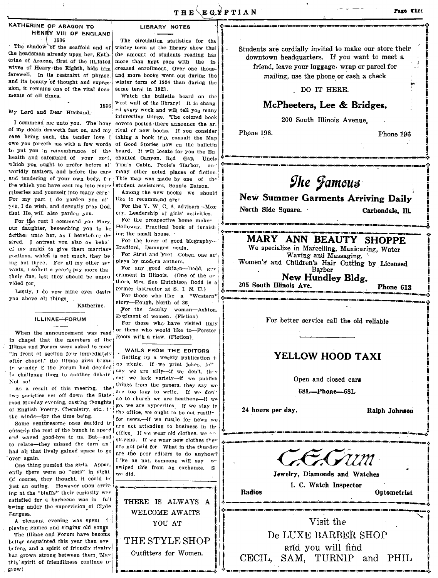### KATHERINE OF ARAGON TO HENRY VIII OF ENGLAND 1536

The shadow of the scaffold and of the headsman already upon her, Kathcrine of Aragon, first of the ill.fated wives of Henry the Eighth, bids him farewell. In its restraint of phrase, and its beauty of thought and expression, it remains one of the vital documents of all times

1536

#### My Lord and Dear Husband.

I commend me unto you. The hour of my death draweth fast on, and my case being such, the tender love I owe you forceth me with a few words to put you in remembrance of the health and safeguard of your soul. which you ought to prefer before all worldly matters, and before the care and tendering of your own body, for the which you have cast me into many miseries and yourself into many care. For my part I do parden you al' Tre, I do wish, and devoutly pray God. that He, will also parden you.

For the rest I commend you Mary, cur daughter, beseeching you to be farther unto her, as I heretofere desired. I entreat you also on beha' of my maids to give them marriage portions, which is not much, they be ing but three. For all my other ser vants, I soficit a year's pay more tha their due, lest they should be unpro vided for

Lastly, I do vow mine eyes desire you above all things

# ILLINAE-FORUM

Katherine.

When the announcement was read in chapel that the members of the Illinae and Forum were asked to meet "in front of section four immediately after chapel," the Illinae girls began to wonder if the Forum had decided to challenge them to another debate. Not so!

As a result of this meeting, the two societies set off down the State: road Monday evening, casting thoughts ( of English Poetry, Chemistry, etc., th the winds-for the time being.

Some venturesome ones decided to outstrip the rest of the bunch in speed and waved good-bye to us. But-sad to relate-they missed the turn an had all that lively gained space to go over again.

One thing puzzled the girls. Appar. ently there were no "eats" in sight Of course, they thought, it could be just an outing. However upon arriving at the "bluffs" their curiosity was satisfied for a barbecue was in fu'l twing under the supervision of Clyde Furgess.

A pleasant evening was spent i playing games and singing old songs

The Illinae and Forum have become better acquainted this year than evebefore, and a spirit of friendly rivalry has grown strong between them May this spirit of friendliness continue to grow!

# LIBRARY NOTES

The circulation statistics for the winter term at the library show that the amount of students reading has more than kept pace with the increased enrollment. Over one thousand more books went out during the winter term of 1924 than during the same term in 1923.

Watch the bulletin board on the west wall of the library! It is changed every week and will tell you many interesting things. The colored book covers posted there announce the arrival of new books. If you consider taking a book trip, consult the Map of Good Stories now on the bulletin board. It will locate for you the En chanted Canyon, Red Gap, Uncle Tom's Cabin, Poole's Harbor,  $2n<sup>4</sup>$ many other noted places of fiction This map was made by one of the student assistants, Bonnie Batson.

Among the new books we should Uke to recommend are:

For the Y. W. C. A. advisors-Mox cey, Leadership of girls' activities.

For the prospective home maker-Holloway, Practical book of furnishing the small house.

For the lover of good biography-Bradford, Damaged souls.

For Strut and Fret-Cohen, one ac' plays by modern authors.

For any good citizen-Dodd, gev erament in Illinois. (One of the av thors, Mrs. Sue Hutchison Dodd is a former instructor at S. I. N. U.)

For those who like a "Western" story---Hough, North of 36 For the faculty woman-Ashton, Regiment of women. (Fiction) For those who have visited Italy or these who would like to-Forster Room with a view. (Fiction).

### WAILS FROM THE EDITORS

Getting up a weekly publication ino picnic. If we print jokes, fo" say we are silly--if we don't, they say we lack variety-if we publish things from the papers, they say we are too lazy to write. If we don" ao to church we are heathens-if we go, we are hypocrites. If we stay in the office, we ought to be out rustlin for news,-if we rustle for news we are not attending to business in the cffice. If we wear old clothes, we are skvens. If we wear new clothes they are not paid for. What in the thurder are the poor editors to do anyhow? L'ke as not, someone will say w swiped this from an exchange. **S** bib ow

THERE IS ALWAYS A WELCOME AWAITS YOU AT THE STYLE SHOP

Outfitters for Women.

Students are cordially invited to make our store their downtown headquarters. If you want to meet a

friend, leave your luggage. wrap or parcel for

mailing, use the phone or cash a check

## DO IT HERE.

# McPheeters, Lee & Bridges.

200 South Illinois Avenue.

Phone 196.

North Side Square.

Phone 196

# **The Jamous**

New Summer Garments Arriving Daily

Carbondale. Ill.

# MARY ANN BEAUTY SHOPPE

We specialize in Marcelling, Manicuring, Water Waving and Massaging. Women's and Children's Hair Cutting by Licensed Barber

New Hundley Bldg.

205 South Illinois Ave. Phone 612

For better service call the old reliable

# YELLOW HOOD TAXI

Open and closed cars

68L-Phone-68L

24 hours per day.

Radios

Ralph Johnson



Jewelry, Diamonds and Watches I. C. Watch Inspector

Optometrist

Visit the De LUXE BARBER SHOP and you will find CECIL, SAM, TURNIP and PHIL

Page Thre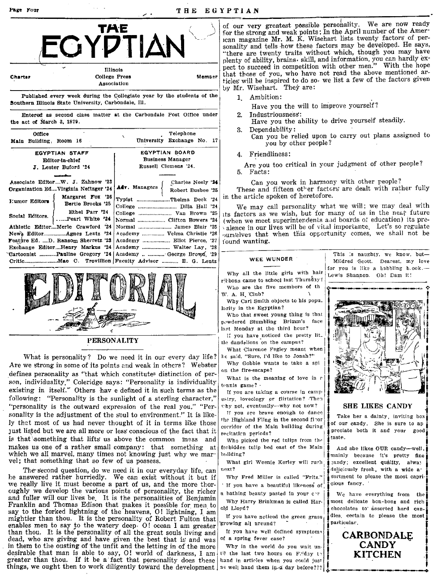#### THE EGYPTIAN





## **PERSONALITY**

What is personality? Do we need it in our every day life? Are we strong in some of its points and weak in others? Webster defines personality as "that which constitutes distinction of person, individuality," Coleridge says: "Personality is individuality existing in itself." Others hav e defined it in such terms as the following: "Personality is the sunlight of a sterling character," "personality is the outward expression of the real you," "Personality is the adjustment of the soul to environment." It is likely that most of us had never thought of it in terms like those just listed but we are all more or less conscious of the fact that it is that something that lifts us above the common mass and makes us one of a rather small company: that something at which we all marvel, many times not knowing just why we marvel; that something that so few of us possess.

The second question, do we need it in our everyday life, can be answered rather hurriedly. We can exist without it but if we really live it must become a part of us, and the more thoroughly we develop the various points of personality, the richer and fuller will our lives be. It is the personalities of Benjamin Franklin and Thomas Edison that makes it possible for men to say to the forked lightning of the heavens, O! lightning, I am mightier than thou. It is the personality of Robert Fulton that enables men to say to the watery deep. O! ocean I am greater than thou. It is the personality of all the great souls living and dead, who are giving and have given the best that is and was in them to the ousting of the unfit and the letting in of the more desirable that man is able to say, O! world of darkness, I am. greater than thou. If it be a fact that personality does these | hand in articles when you could just things, we ought then to work diligently toward the development  $\frac{1}{2}$  as well hand them in a day before???

of our very greatest possible personality. We are now ready for the strong and weak points; In the April number of the American magazine Mr. M. K. Wisehart lists twenty factors of personality and tells how these factors may be developed. He says, "there are twenty traits without which, though you may have plenty of ability, brains, skill, and information, you can hardly expect to succeed in competition with other men." With the hope that those of you, who have not read the above mentioned articles will be inspired to do so, we list a few of the factors given by Mr. Wisehart. They are:

- 1. Ambition:
	- Have you the will to improve yourself?
- 
- 2. Industriousness: Have you the ability to drive yourself steadily.
- 3. Dependability: Can you be relied upon to carry out plans assigned to you by other people?
- 4. Friendliness:

Are you too critical in your judgment of other people? 5. Facts:

Can you work in harmony with other people? These and fifteen other factors are dealt with rather fully in the article spoken of heretofore.

We may call personality what we will; we may deal with its factors as we wish, but for many of us in the near future (when we meet superintendents and boards of education) its prealence in our lives will be of vital importance. Let's so regulate ourselves that when this opportunity comes, we shall not be found wanting.

#### WEE WUNDER

Why all the little girls with hair ribbons came to school last Thursday? Who are the five members of th W. A. H. Club?

Why Carl Smith objects to his popu. larity in the Egyptian?

Who that sweet young thing is that powdered Stumbling Brimm's face last Monday at the third hour?

If you have noticed the pretty lit. tle dandelions on the campus?

What Clarence Fegley meant when he said, "Sure, I'd like to Jonah?"

Why Gobbie wants to take a spi on the fire-escape?

What is the meaning of love in a tennis game? .

If you are taking a course in campustry, loveology or flirtation? Then why not, eventually---why not now?

If you are brave enough to dance the Highland Fling in the second floor corridor of the Main building during recitation periods?

Who picked the red tulips from the forbidden tulip bed east of the Main building?

What girl Weenie Kerley will rush  $next?$ 

Why Fred Miller is called "Fritz." If you have a beautiful likeness of

a bathing beauty pasted in your cor-

Why Harry Brinkman is called Harold Lloyd?

If you have noticed the green grass growing all around?

If you have well defined symptoms of a spring fever case?

Why in the world do you wait until the last two hours on Friday to

This is naughty, we know, but-Mildred Scott Dearest my love for you is like a babbling b.ook.-Lewis Shannon. Oh! Dam it!



#### SHE LIKES CANDY

Take her a dainty inviting box of our candy. She is sure to ap preciate both it and your good taste.

And she likes OUR candy-well, mainly because it's pretty fine candy; excellent quality, alway deliciously fresh, with a wide asortment to please the most capricious fancy.

We have everything from the most delicate bon-bong and rich chocolates to assorted hard candies, certain to please the most particular.

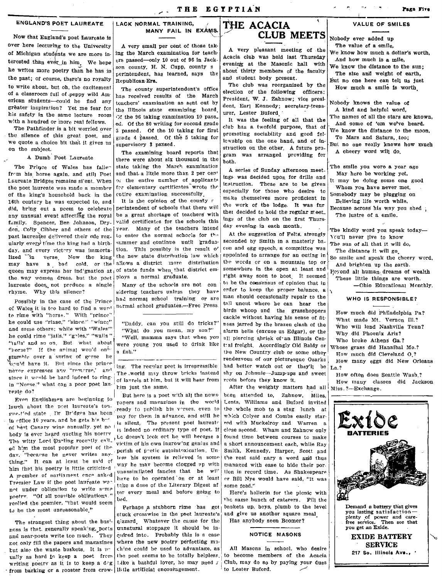## THE EGYPTIAN

#### **ENGLAND'S POET LAUREATE**

Now that England's poet Laureate is over here lecturing to the University of Michigan students we are more interested than ever in him. We hope he writes more poetry than he has in the past; of course, there's no royalty to write about, but oh, the excitement of a classroom full of peppy wild American students-could he find any grèater inspiration? Yet me fear for his safety in the same lecture room with a hundred or more real fellows.

The Pathfinder is a bit worried over the silence of this great poet, and we quote a choice bit that it gives us on the subject.

#### A Dumb Poet Laureate

The Prince of Wales has fallefrom his horse again, and still Poet Laureate Bridges remains si'ent. When the noet laureate was made a member of the king's household back in the 16th century he was expected to, and did, bring out a peem to celebrate any unusual event affecting the royal family. Spencer, Ben Johnson, Dryden, Colly Cibber and others of the past laureates delivered their ode regularly every time the king had a birthday, and every victory was immortalized in verse. Now the king may have a bad cold, or the allows a district more distribution queen may express her indignation at of state funds when that district emthe way women dress, but the poet ploys a normal graduate. laureate does, not produce a single rhyme. Why this silence?

Possibly in the case of the Prince of Wales it is too hard to find a word to rime with "herse." With "prince" he could use "rinse," "since." "wince" and some others; while with "Wales" he could rime "jails," "goles," "wails" "tails' and so on. But what about "horse?" If the animal would on<sup>i-</sup> stumble over a suring of gorse he vould have it. But since the prince never expresses any "remerse,' and since it would be hard indeed to ringin "Norse." what can a poor poet laureste do?

Even Englishmen are beginning to laugh about the peet laureate's tongne-tied state . Dr. Bridges has been in effice 10 years, and he gets his but of best Canary wine annually, yet no body is ever heard quoting his noetry The witty Lord Darling recently call. ed him the most popular poet of the day. "hecarse he never writes anything." It can at lesst be said of him that his poetry is little criticized A member of parliament ence asked Fremier Law if the poet lawreate war not under obligation to write some neetry. "Of all possible obligations." replied the premier, "that would seem to be the most unreasonable."

The strangest thing about the business is that generally speaking, poets and near-poets write tco much. They not only fill the papers and mazazines but also the waste baskets. It is we ually as hard to keep a poet from writing poetry as it is to keep a deg from barking or a rooster from crow- little artificial encouragement.

#### LACK NORMAL TRAINING, MANY FAIL IN EXAMS.

A very small per cent of those taking the March examination for teachers passed-only 10 out of 96 in Jackson county, H. N. Cupp, county s perintendent, has learned, says the Republican-Era.

The county superintendent's office has received results of the March teachers' examination as sent out by the Illinois state examining board Of the 96 taking examination 10 pass. ed. Of the 80 writing for second grade 3 passed. Of the 10 taking for first grade 4 passed. Of the 5 taking for supervisory 3 passed.

The examining board reports that there were about six thousand in the state taking the March examination and that a little more than 2 per cent or the entire number of applicants for elementary certificates wrote the entire examination successfully.

It is the opinion of the county r perintendent of schools that there will be a great shortage of teachers with valid certificates for the schools this year. Many of the teachers intend to enter the normal schocls for the summer and continue until graduation. This possibly is the result of the new state distribution law which

Many of the schools are not con sidering teachers unless they have had normal school training or are normal school graduates.-Free Press.

"Daddy, can you still do tricks?" "What do you mean, my son?" "Well, mamma says that when you were young you used to drink like a fish  $"$ 

ing. The regular poet is irrepressible The world may throw bricks instead of laurels at him, but it will hear from him just the same.

But here is a poet with all the newspapers and magazines in the world ready to publish his verses, even to pay for them in advance, and still he is silent. The present poet laureate is indeed no crdinary type of poet. If Le doesn't leok out he will become a victim of his own ingrowing genius and perish of poetic autointoxication. Unless his system is relieved in some way he may become clossed up with unassimilated fancies that he will have to be operated on or at least take a dose of the Literary Digest af ter every meal and before going to bed.

Perhaps a stubborn rime has got stuck cresswise in the poet laureate's gizzard Whatever the cause for the unnatural stoppage it should be in quired into. Probably this is a case where the new poetry perfecting machine could be used to advantage, as the poet seems to be totally helpless. Like a bashful lover, he may need x

# THE ACACIA **CLUB MEETS**

A very pleasant meeting of the Acacia club was held last Thursday evening at the Masonic hall with about thirty members of the faculty and student body present.

The club was reorganized by the election of the following officers: President, W. J. Zahnow; vice president, Earl Kennedy; secretary-treasurer, Lester Buford

It was the feeling of all that the club has a twofold purpose, that of promoting sociability and good fellewship on the one hand, and of instruction on the other. A future program was arranged providing for both.

A series of Sunday afternoon meetings was decided upon for drills and instruction. These are to be given especially for those who desire to make themselves more proficient in the work of the lodge. It was fur ther decided to hold the regular meet. ings of the club on the first Thurs day evening in each month.

At the suggestion of Felts, strongly seconded by Smith in a masterly bacon and egg speech, a committee was appointed to arrange for an outing in the words or on a mountain top or somewhere in the open at least and right away soon to boot. It seemed to be the consensus of opinion that in erder to keep the proper balance, a man should occasionally repair to the tall uncut where he can hear the birds whoop and the grasshoppers cackle without having his sense of fitness jarred by the brazen clash of the alarm bells (excuse us Edgar), or the all piercing shriek of an Illinois Central freight. Accordingly Old Baldy or the New Country club or some other rendezvous of our picturesque Ozarks had better watch out or they'll be shy on Johnnie-Jump-ups and sweet rects before they know it.

After the weighty matters had all been attended to, Zahnow, Miles, Lentz, Williams and Buford invited the whole mob to a stag lunch at which Colyer and Combs easily starred with Muckelroy and Warren a clese second. Wham and Zahnow only found time between courses to make a short announcement each, while Rav Smith, Kennedy, Harper, Scott and the rest said nary a word and thus managed with ease to hide their portion in record time. As Shakespeare er Bill Nye would have said, "It was some feed."

Here's hollerin for the picnic with the same bunch of caterers. Fill the baskets up, beys, plumb to the level and give us another square meal Has anybody seen Boomer?

## NOTICE MASONS

All Masons in school, who desire to become members of the Acacia Club, may do so by paying your dues to Lester Buford.

# **VALUE OF SMILES**

- Nobody ever added up The value of a smile,
- We know how much a dollar's worth. And how much is a mile,
- We know the distance to the sun: The size and weight of earth, But no one here can tell us just How much a smile is worth

Nobody knows the value of A kind and helpful word,

The names of all the stars are known,

And some of 'em we've heard.

We know the distance to the moon,

- To Mars and Saturn, too: But no one really knows how much
	- A cheery word will do.

The smile you wore a year ago May here be working yet, It may be doing some one good Whom you have never met. Somebody may be plugging on Believing life worth while, Because across his way you shed The lustre of a smile.

The kindly word you speak today-You'll never live to know The sun of all that it will do, The distance it will go So smile and speak the cheery word, And brighten up the earth. Reyond all human dreams of wealth These little things are worth.

-Ohio Educational Monthly.

WHO IS RESPONSIBLE?

How much did Philadelphia Pa? What made Mt. Vernon Ill.? Who will lend Nashville Tenn? Why did Phoenix Ariz? Who broke Athens Ga.? Whose grass did Hannibal Mo.? How much did Cleveland O.? How many eggs did New Orleans  $La.?$ How often does Seattle Wash.?

How many classes did Jackson Miss. ?-Exchange.

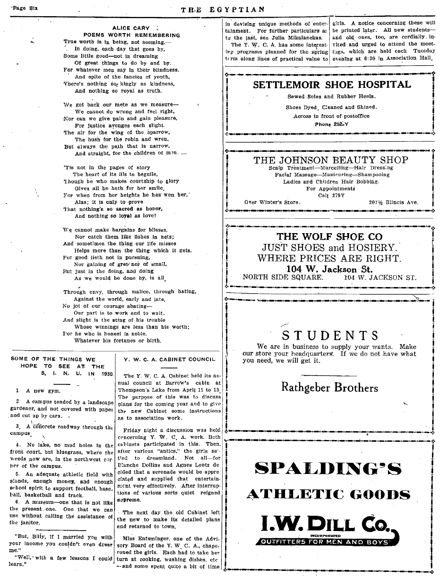and a strong for the state of the state of the state of the state of the state of the state of the state of the state of the state of the state of the state of the state of the state of the state of the state of the state

|<br>|<br>| į.

į. ,:~ ...

#### ALICE CARY

POEMS WORTH REMEMBERING True worth is in being, not seeming,-In doing, each day that goes by, Some little good--not in dreaming Of great things to do by and by. For whatever men say in their blindness, And spite of the fancies of youth, There's nothing sog kingly as kindness, And notbing so royal as trutb.

We get back our mete as we measure-We cannot do wrong and feel right, -Nor can we give pain and gain pleasure,

For justice avenges each slight. The air for the wing of the sparrow, The bush for the robin and wren,

But always the path that is narrow, And straight, for the children of men. ....

'Tis not in the pages of story The heart of its ills to beguile, 'lhougb he who makes courtsbip to glary Gives all be hath for ber smile. For when from her heights he has won her, Alas; it is only to ·provs That nothing's so sacred as honor, And nothing so loyal as love!

We cannot make bargains for blisses, Nor catch them like fisbes in nets; And sometimes tbe thing our life misses Helps more than the thing which it gets. For good lieth not in pursuing, Nor gaining of gret/nor of small, But just in the doing, and doing As we would be done by, is all.

Through envy, through malice, through hating, Against the world, early and late, No jot of our courage abating-Our part is to work and to wait. And slight is the sting of his trouble Whose winnings are less than his worth; 1'01' he wn'o is honest is noble, Whatever his fortunes or birth.

## SOME OF THE THINGS WE HOPE TO SEE AT THE

1 A new gym.

2 A campus tended by a landscape gardener, and not covered with papel %, and cut up by cars.  $\cdot$ <br>3 A concrete roadway through the

campus.

4. No lake, no mud holes In the front court, but bluegrass, where the weeds now are, in the northwest corner of the campus.

5. An adequate athletic field witb stands, enough money, and enough elated and supplied that entertain-<br>school spirit to support football base. ment very effectively. After interrupschool spirit to support football, base.

 $6.$  A museum-one that is not like the present one. One that we can  $\cdot$  The next day the old Cabinet left use without calling the assistance of  $\cdot$  the next to make its distinct plane Early bestected and track.<br>  $\begin{bmatrix}\n\text{6} & \text{A} & \text{m} \\ \text{7} & \text{A} & \text{m} \\ \text{8} & \text{9} & \text{10}\n\end{bmatrix}$ <br>  $\begin{bmatrix}\n\text{6} & \text{A} & \text{m} \\ \text{7} & \text{m} \\ \text{8} & \text{m} \\ \text{9} & \text{m} \end{bmatrix}$ <br>  $\begin{bmatrix}\n\text{8} & \text{m} \\ \text{8} & \text{m} \\ \text{9} & \text{m} \\ \text{10} &$ 

"But, Billy, if I married you with Miss Entsminger, one of the Advitsure income you couldn't even dress sory Board of the Y.W. C. A. chane.

S. I. N. U. IN 1930, ::,: :·C:·::,C:::,~::" i The Y. W. C. A. Cabinet held its annual council at Barrow's cabin at Thompson's Lake from April 11 to 13 The purpose of this was to discuss plans for the coming year and to give the new Cabinet some instructions as to association work.

Friday night a discussion was held concerning Y. W. C. A. work. Beth cabinets participated in this. Then, after various "antics," the girls setled to dreamland. Not all-for E:anche Dollins and Agnes Lentz de cided that a serenade would be appre<br>ciated and supplied that entertaintall, basketball and track.  $\begin{bmatrix} 1 & 0 & 0 & 0 \\ 0 & 0 & 0 & 0 \\ 0 & 0 & 0 & 0 \\ 0 & 0 & 0 & 0 \end{bmatrix}$  suppose  $\begin{bmatrix} 1 & 0 & 0 \\ 0 & 0 & 0 \\ 0 & 0 & 0 \\ 0 & 0 & 0 \end{bmatrix}$  suppose  $\begin{bmatrix} 1 & 0 & 0 \\ 0 & 0 & 0 \\ 0 & 0 & 0 \\ 0 & 0 & 0 \end{bmatrix}$ 

the issue without calling the assistance of the new to make its detailed plans the janitor.

your income you couldn't even dress sory Board of the Y. W. C. A., chape.<br>me." roned the girls. Each had to take her "Well, 'with a few lessons I could turn at cooking, washing dishes, etc. --and some spent quite a bit of time

in devising unique methods of' entertainment. For further particulars as to' the last, aee Julia Mikalanckas. The Y. W. C. A. has some interesting programs planned for the spring term along lines of practical value to

girls. A notice concerning these will be printed later. All new studentsand old ones, too, are cordially invited and urged to attend the meetbgs, which are held each Tuesday evening at 6:30 in Association Hall.

# SETTLEMOIR SHOE HOSPITAL

Sewed Soles and Rubber Heels.

Shoes Dyed, Cleaned and Shined.<br>Across in front of postoffice<br>Phone 252-Y<br>Component contract the contract of the contract of the contract of the contract of the contract of the contract of the contract of the contract of t Shoes Dyed, Cleaned and Shined. Across in front of postoffice

Phone 252~Y ,  $\downarrow$  Phone 252-Y

# **(.\_---- -** THE JOHNSON BEAUTY SHOP

Scalp Treatment-Marcelling-Hair Dressing FaciaI Massage-Manicuring-Shampooing Ladies and Children Hair Bobbing. For Appointments

Call 279Y

Over Winter's Store.

*207'h* TIlineis Ave. ":t.\_O \_\_ '''' \_\_ II \_\_ '''' \_\_ II \_\_ '''' \_\_ ' \_\_ ~'"' \_\_ ' \_\_ "'''' \_\_ ' \_\_ '''''' \_\_ ' \_\_\_ "j \_\_ ii\_\_ ~'N \_\_ ~I.-r~':. '!'\_~ \_\_ ~ \_\_\_ f\_\_ '~ \_\_ ~.'.

> $\ddot{\!\!\!~}$ i į. ,<br>,<br>,<br>,<br>,<br>,<br>,<br>,  $\frac{1}{2}$

t

# THE WOLF SHOE CO JUST SHOES and HOSIERY. WHERE PRICES ARE RIGHT.

104 W. Jackson St. NORTH SIDE SQUARE. 104 W. JACKSON ST.

'''" ~~<br>|-<br>|-<br>|-<br>|-

# **STUDENTS**

We are in business to supply your wants. Make our store your headquarters. If we do not have what you need, we will get it.

# Rathgeber Brothers

• ~O\_C\_[]\_-'-"-'~\_~\_--;-\_\_\_ ' \_\_ i~": I

# **SPALDING'S**

**ATHLETIC GOODS** 



-~1iIII! -' .. --,-------\_\_ -.. \_ **\_ -.y**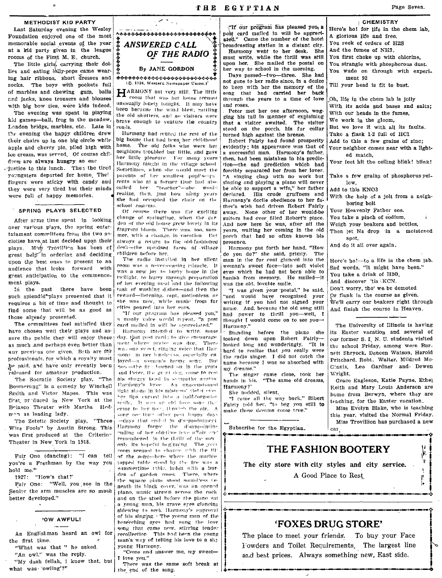#### METHODIST KID PARTY

Last Saturday evening the Wesley Foundation enjoyed one of the most memorable social events of the year at a kid party given in the league rooms of the First M. E. church.

The little girls, carrying their dollies and eating lolly-pops came wearing hair ribbons, short dresses and socks. The boys with pockets full of marbles and chewing gum, balls and jacks, knee trousers and blouses with big bow ties, were kids indeed.

The evening was spent in playing kid games-ball, frog in the meadow, London bridge, marbles, etc. Late in the evening the happy children drew their chairs up in one big circle while apple and cherry pie, piled high with ice cream, was served. Of course children are always hungry so eac

-justice to this lunch. Then the tired youngsters departed for home, Thei fingers were sticky with candy and they were very tired but their minds were full of happy memories.

#### SPRING PLAYS SELECTED

After some time spent in looking over various plays, the spring entertainment committees from the two societies have at last decided upon their plays. Miss Trovillion has been of great help in ordering and deciding upon the best ones to present to an audience that looks forward with great anticipation to the commencement plays.

In the past there have been such splendid\*plays presented that it requires a bit of time and thought to find some that will be as good as those already presented.

The committees feel satisfied they have chosen well their plays and assure the public they will enjoy these as much ,and perhaps even better than any previous one given. Both are for professionals, for which a royalty must be paid, and have only recently been released for amateur production.

The Socratic Society play. "The Boomerang" is a cemedy by Winchell Smith and Victor Mapes. This was first produced in New York at the Belasco Theater with Martha Hedmon as leading lady.

The Zetetic Society play, "Three Wise Fools" by Austin Strong. This was first produced at the Criterior Theater in New York in 1918.

Fair One (dancing): "I can tell you're a Freshman by the way you hold me."

1927: "How's that?"

Fair One: "Well, you see in the Senier the arm muscles are so much better developed."

# 'OW AWFUL!

An Englishman heard an owl for the first time.

"What was that " he asked. "An owl," was the reply.

"My deah fellah, I know that, but what was 'owling'?"



By JANE GORDON

<del>ਲ਼</del>ਲ਼ਲ਼ਲ਼ਲ਼ਲ਼ਲ਼ਲ਼ਲ਼ਲ਼ਲ਼ਲ਼ਲ਼ਲ਼ਲ਼ਲ਼ਲ਼ਲ਼ਲ਼ਲ਼ਲ਼ਲ਼ਲ਼ਲ਼ਲ਼ਲ਼ਲ਼ (©. 1924, Western Newspaper Union.)

HARMONY sat very still. The little room that was her home seemed unasually lonely tonight. It may have been because the wind blew, rattling the old shutters, and no visitors were brave enough to venture the country roads.

Hurmony had rented the rest of the big house that had been her childhood home. The old folks who were her neighbors troubled her little, and gave her little pleasure. For many years Harmony taught in the village school Sometimes, when she would meet the parents of her smallest pupils--ru rents who at a former time had also<br>called her "teacher"--she would realize, then, just how ninny years she had occupied the chair on the school rostrum.

Of course there was the exciting change of springtime, when the garden of the old house grew lovely in its fragrant bloom. There was, too, summer, with a change, in vacation. That always a return to the old-fashioned desk-the upraised faces of village children before her.

The radio installed in her silent room was a never-ceasing miracle. It was a new joy to hurry home in the twilight, to hurry through preparation of her evening meal and the following task of washing dishes-and then the reward-listening, rapt, motionless, as she was now while music from far eities poured into her ears.

"If our program has pleased you," a manly voice would repeat. "a post card mailed in will be appreciated."

Harmony intended to write, some day, that post card; to give encourage ment where praise was due. There was one sweet, ringing voice that Harmony in her lengliness, especially en joyed-a women's happy seng. But now-the first urined on in the grate and Peter, the gript deg, came to rest his shaggy head in sympathy amains: Harmony's kree. An unaecustomed light shone in his mistross' violot oves her lips curved into a half-forgotter smile. It was an old love song that erine to her non, through the air. A song ree lling other past happy days -days that ended in diseppointment Harmony forgot the disappointine ending of her old-time leve affair and remembered in the thrill of the sononly its hopeful beginning. The year coom seemed to change with the UP of the song--here where the marble tapped table stood by the fire was a summertime table, laden with a burden of garden roses. There, where the square piano stood soundless teneath its black cover, was an opened plano, music strewn across the rack and on the stool before the niano sat a young man, his grave eyes glancing sidewise to seek Harmony's approval of his singing. The young man of the beseeching eyes had sung the love song that came now, stirring tender recollection. This had been the young man's way of telling his love to a shy young Harmony.

"Come and answer me, my sweet-I love you.'

There was the same soft break at the end of the song.

"If our program has pleased you, a post card mailed in will be appreciated." Came the number of the hotel broadcasting station in a distant city. Harmony went to her desk. She

THE EGYPTIAN

must write, while the thrill was still upon her. She mailed the postal on her way to school in the morning.

Days passed--two--three. She had not gone to her radio since, in a desire to keep with her the memory of the song that had carried her back through the years to a time of love and roses.

Peter met her one afternoon, wagging his tail in manner of explaining that a visitor awaited. The visitor stood on the porch, his fur collar turned high against the breeze.

Robert Fairly had found prosperity evidently; his appearance was that of a successful man. Harmony's father. then, had been mistaken in his prediction-the sad prediction which had forcibly separated her from her lover. 'A singing chap with no work but singing and playing a piano will never be able to support a wife," her father declared. His crude gruffness and Hurmony's doclle obedience to her father's wish had driven Robert Fairly None other of her would-be away. suitors had ever filled Robert's place. And now here he was, after all the years, waiting her coming in the old porch that had so often known his presence.

Harmony put forth her hand. "How do you do?" she said, primiy. The man in the fur coat glanced into the woman's sweet face-into soft violet eyes which he had not been able to banish from memory. He smiled-it was the old, lovable smile.

"I was given your postal," he said, "and would have recognized your writing if you had not signed your name. And, because the old song still had power to thrill you-well, I thought I would come on to see you-Harmony."

Standing before the plano she looked down upon Robert Fairlylooked long and wonderingly. "It is hard to realize that you really were the radio singer. I did not catch the name because I was so absorbed with my dreams."

The singer came close, took her hands in his. "The same old dreams, Harmony?"

She nodded, silent.

"I came all the way back," Ribert Fairly told her. "to beg you still to make those dreams come true."

Subscribe for the Egyptian.

**CHEMISTRY** Here's ho! for life in the chem lab. A glorious life and free, You reek of orders of H2S And the fumes of NH3. You first choke up with chlorine, You strangle with phosphorous dust. You wade on through with experiment 92 Till your head is fit to bust. Oh, life in the chem lab is jolly With its acids and bases and salts; With our heads in the fumes, We work in the gloom, But we love it with all its faults. Take a flask 1-2 full of HC1 Add to this a few grains of zîne: Your neighbor comes near with a lighted match. Your feet hit the ceiling blink! blink! Take a few grains of phosphorus yellow. Add to this KNO3 With the help of a jolt from a neighboring bolt Your Heavenly Father see. You take a pinch of sodium, Weigh your beakers and bottles, Then let Na drop in a moistened spot, And do it all over again. Here's ho!-to a life in the chem lab. Sad words, "It might have been." You take a drink of H2O. And discover 'tis KCN. Don't worry, tho' we be demoted Or flunk in the course as given, We'll carry our beakers right through And finish the course in Heaven.

The University of Illinois is having its Easter vacation and several of cur former S. I. N. U. students visited the school Friday, among were Burnett Shryock, Deneen Watson, Harold Pritchard, Robt. Walter, Mildred Mc-Ginnis, Leo Gardner and Dewen **Wright** 

Grace Eagleson, Katie Payne, Ethel Keith and Mary Louis Anderson are home from Berwyn, where they are teaching, for the Easter vacation.

Miss Evelyn Blake, who is teaching this year, visited the Normal Friday. Miss Trovillion has purchased a new car

μ

þ,

# **THE FASHION BOOTERY**

The city store with city styles and city service. A Good Place to Rest

# **'FOXES DRUG STORE'**

The place to meet your friends. To buy your Face Fowders and Toilet Requirements. The largest line and best prices. Always something new, East side.